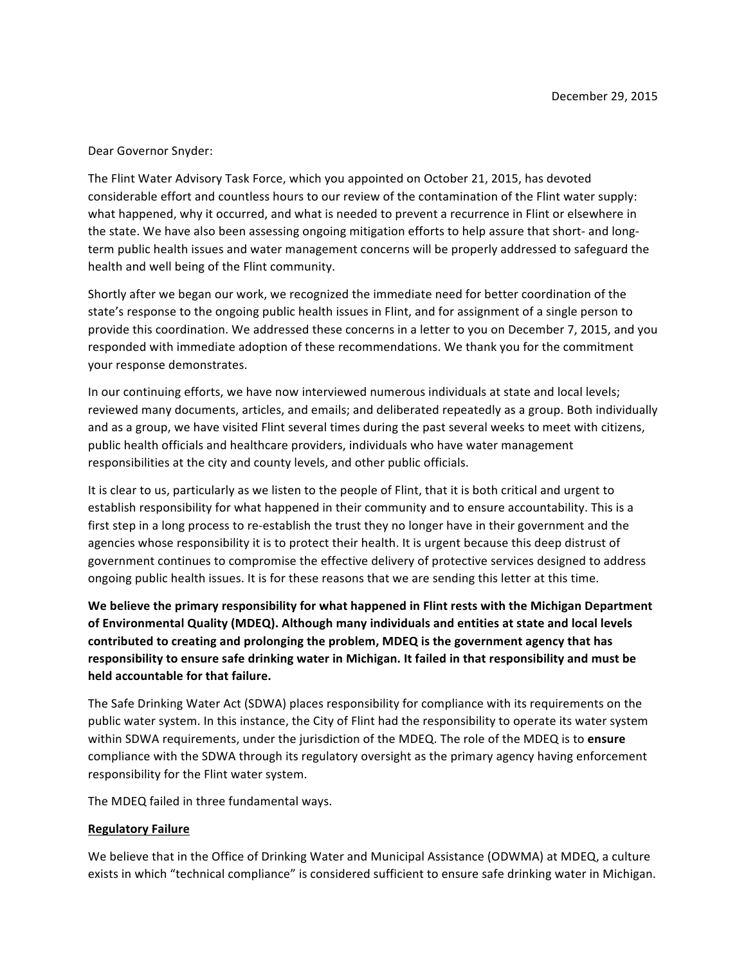## Dear Governor Snyder:

The Flint Water Advisory Task Force, which you appointed on October 21, 2015, has devoted considerable effort and countless hours to our review of the contamination of the Flint water supply: what happened, why it occurred, and what is needed to prevent a recurrence in Flint or elsewhere in the state. We have also been assessing ongoing mitigation efforts to help assure that short- and longterm public health issues and water management concerns will be properly addressed to safeguard the health and well being of the Flint community.

Shortly after we began our work, we recognized the immediate need for better coordination of the state's response to the ongoing public health issues in Flint, and for assignment of a single person to provide this coordination. We addressed these concerns in a letter to you on December 7, 2015, and you responded with immediate adoption of these recommendations. We thank you for the commitment your response demonstrates.

In our continuing efforts, we have now interviewed numerous individuals at state and local levels; reviewed many documents, articles, and emails; and deliberated repeatedly as a group. Both individually and as a group, we have visited Flint several times during the past several weeks to meet with citizens, public health officials and healthcare providers, individuals who have water management responsibilities at the city and county levels, and other public officials.

It is clear to us, particularly as we listen to the people of Flint, that it is both critical and urgent to establish responsibility for what happened in their community and to ensure accountability. This is a first step in a long process to re-establish the trust they no longer have in their government and the agencies whose responsibility it is to protect their health. It is urgent because this deep distrust of government continues to compromise the effective delivery of protective services designed to address ongoing public health issues. It is for these reasons that we are sending this letter at this time.

We believe the primary responsibility for what happened in Flint rests with the Michigan Department of Environmental Quality (MDEQ). Although many individuals and entities at state and local levels contributed to creating and prolonging the problem, MDEQ is the government agency that has responsibility to ensure safe drinking water in Michigan. It failed in that responsibility and must be **held** accountable for that failure.

The Safe Drinking Water Act (SDWA) places responsibility for compliance with its requirements on the public water system. In this instance, the City of Flint had the responsibility to operate its water system within SDWA requirements, under the jurisdiction of the MDEQ. The role of the MDEQ is to **ensure** compliance with the SDWA through its regulatory oversight as the primary agency having enforcement responsibility for the Flint water system.

The MDEQ failed in three fundamental ways.

## **Regulatory Failure**

We believe that in the Office of Drinking Water and Municipal Assistance (ODWMA) at MDEQ, a culture exists in which "technical compliance" is considered sufficient to ensure safe drinking water in Michigan.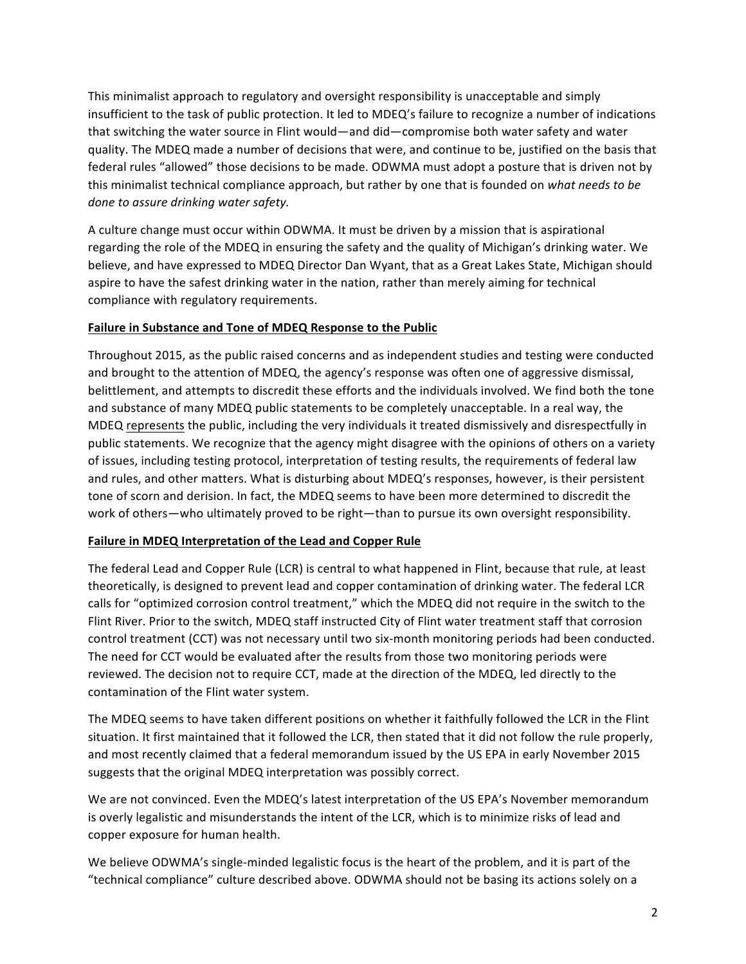This minimalist approach to regulatory and oversight responsibility is unacceptable and simply insufficient to the task of public protection. It led to MDEQ's failure to recognize a number of indications that switching the water source in Flint would—and did—compromise both water safety and water quality. The MDEQ made a number of decisions that were, and continue to be, justified on the basis that federal rules "allowed" those decisions to be made. ODWMA must adopt a posture that is driven not by this minimalist technical compliance approach, but rather by one that is founded on what needs to be done to assure drinking water safety.

A culture change must occur within ODWMA. It must be driven by a mission that is aspirational regarding the role of the MDEQ in ensuring the safety and the quality of Michigan's drinking water. We believe, and have expressed to MDEQ Director Dan Wyant, that as a Great Lakes State, Michigan should aspire to have the safest drinking water in the nation, rather than merely aiming for technical compliance with regulatory requirements.

## **Failure in Substance and Tone of MDEQ Response to the Public**

Throughout 2015, as the public raised concerns and as independent studies and testing were conducted and brought to the attention of MDEQ, the agency's response was often one of aggressive dismissal, belittlement, and attempts to discredit these efforts and the individuals involved. We find both the tone and substance of many MDEQ public statements to be completely unacceptable. In a real way, the MDEQ represents the public, including the very individuals it treated dismissively and disrespectfully in public statements. We recognize that the agency might disagree with the opinions of others on a variety of issues, including testing protocol, interpretation of testing results, the requirements of federal law and rules, and other matters. What is disturbing about MDEQ's responses, however, is their persistent tone of scorn and derision. In fact, the MDEQ seems to have been more determined to discredit the work of others—who ultimately proved to be right—than to pursue its own oversight responsibility.

## Failure in MDEQ Interpretation of the Lead and Copper Rule

The federal Lead and Copper Rule (LCR) is central to what happened in Flint, because that rule, at least theoretically, is designed to prevent lead and copper contamination of drinking water. The federal LCR calls for "optimized corrosion control treatment," which the MDEQ did not require in the switch to the Flint River. Prior to the switch, MDEQ staff instructed City of Flint water treatment staff that corrosion control treatment (CCT) was not necessary until two six-month monitoring periods had been conducted. The need for CCT would be evaluated after the results from those two monitoring periods were reviewed. The decision not to require CCT, made at the direction of the MDEQ, led directly to the contamination of the Flint water system.

The MDEQ seems to have taken different positions on whether it faithfully followed the LCR in the Flint situation. It first maintained that it followed the LCR, then stated that it did not follow the rule properly, and most recently claimed that a federal memorandum issued by the US EPA in early November 2015 suggests that the original MDEQ interpretation was possibly correct.

We are not convinced. Even the MDEQ's latest interpretation of the US EPA's November memorandum is overly legalistic and misunderstands the intent of the LCR, which is to minimize risks of lead and copper exposure for human health.

We believe ODWMA's single-minded legalistic focus is the heart of the problem, and it is part of the "technical compliance" culture described above. ODWMA should not be basing its actions solely on a